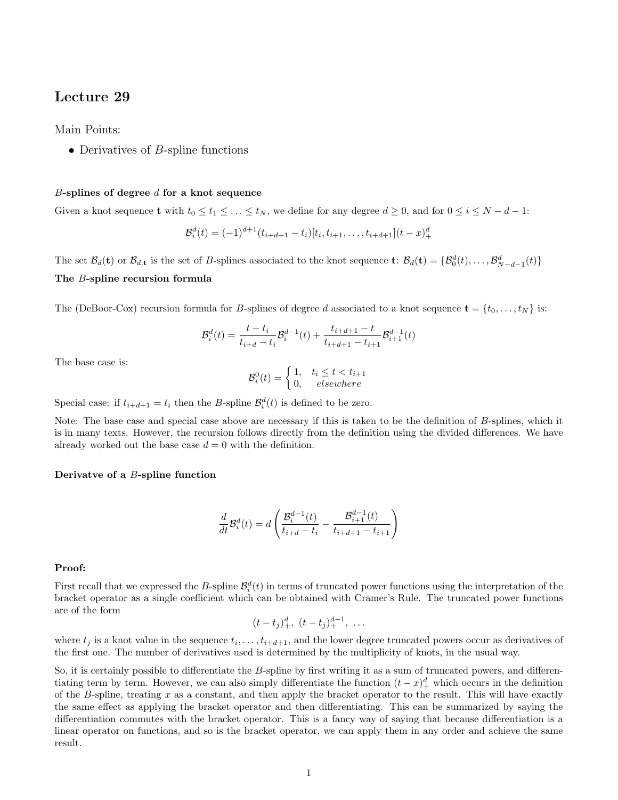## Lecture 29

Main Points:

• Derivatives of  $B$ -spline functions

## $B$ -splines of degree  $d$  for a knot sequence

Given a knot sequence **t** with  $t_0 \le t_1 \le \ldots \le t_N$ , we define for any degree  $d \ge 0$ , and for  $0 \le i \le N - d - 1$ :

$$
\mathcal{B}_i^d(t) = (-1)^{d+1} (t_{i+d+1} - t_i)[t_i, t_{i+1}, \dots, t_{i+d+1}](t-x)_+^d
$$

The set  $\mathcal{B}_d(\mathbf{t})$  or  $\mathcal{B}_{d,\mathbf{t}}$  is the set of B-splines associated to the knot sequence  $\mathbf{t}$ :  $\mathcal{B}_d(\mathbf{t}) = {\mathcal{B}_0^d(t), \ldots, \mathcal{B}_{N-d-1}^d(t)}$ The B-spline recursion formula

The (DeBoor-Cox) recursion formula for B-splines of degree d associated to a knot sequence  $\mathbf{t} = \{t_0, \ldots, t_N\}$  is:

$$
\mathcal{B}_i^d(t) = \frac{t - t_i}{t_{i+d} - t_i} \mathcal{B}_i^{d-1}(t) + \frac{t_{i+d+1} - t}{t_{i+d+1} - t_{i+1}} \mathcal{B}_{i+1}^{d-1}(t)
$$

The base case is:

$$
\mathcal{B}_i^0(t) = \begin{cases} 1, & t_i \le t < t_{i+1} \\ 0, & \text{elsewhere} \end{cases}
$$

Special case: if  $t_{i+d+1} = t_i$  then the B-spline  $\mathcal{B}_i^d(t)$  is defined to be zero.

Note: The base case and special case above are necessary if this is taken to be the definition of B-splines, which it is in many texts. However, the recursion follows directly from the definition using the divided differences. We have already worked out the base case  $d = 0$  with the definition.

## Derivatve of a B-spline function

$$
\frac{d}{dt}\mathcal{B}_i^d(t) = d\left(\frac{\mathcal{B}_i^{d-1}(t)}{t_{i+d} - t_i} - \frac{\mathcal{B}_{i+1}^{d-1}(t)}{t_{i+d+1} - t_{i+1}}\right)
$$

## Proof:

First recall that we expressed the B-spline  $\mathcal{B}_i^d(t)$  in terms of truncated power functions using the interpretation of the bracket operator as a single coefficient which can be obtained with Cramer's Rule. The truncated power functions are of the form

$$
(t-t_j)_+^d, \ (t-t_j)_+^{d-1}, \ \ldots
$$

where  $t_j$  is a knot value in the sequence  $t_i, \ldots, t_{i+d+1}$ , and the lower degree truncated powers occur as derivatives of the first one. The number of derivatives used is determined by the multiplicity of knots, in the usual way.

So, it is certainly possible to differentiate the B-spline by first writing it as a sum of truncated powers, and differentiating term by term. However, we can also simply differentiate the function  $(t-x)^4_+$  which occurs in the definition of the B-spline, treating  $x$  as a constant, and then apply the bracket operator to the result. This will have exactly the same effect as applying the bracket operator and then differentiating. This can be summarized by saying the differentiation commutes with the bracket operator. This is a fancy way of saying that because differentiation is a linear operator on functions, and so is the bracket operator, we can apply them in any order and achieve the same result.